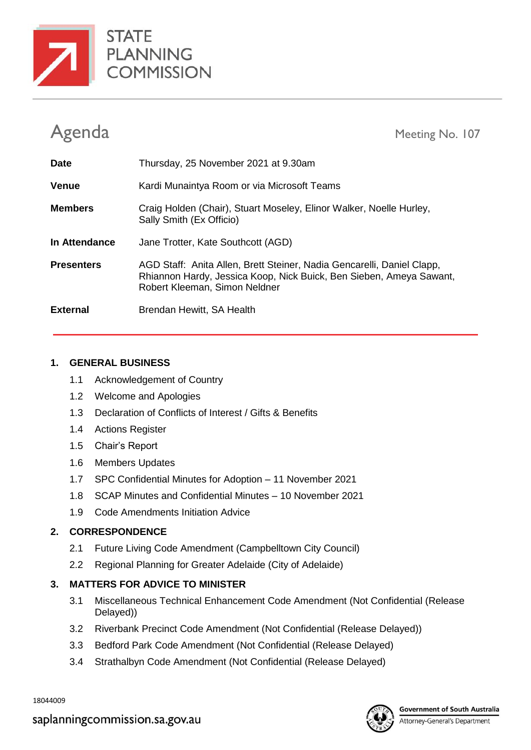



Agenda Meeting No. 107

| <b>Date</b>       | Thursday, 25 November 2021 at 9.30am                                                                                                                                           |
|-------------------|--------------------------------------------------------------------------------------------------------------------------------------------------------------------------------|
| <b>Venue</b>      | Kardi Munaintya Room or via Microsoft Teams                                                                                                                                    |
| <b>Members</b>    | Craig Holden (Chair), Stuart Moseley, Elinor Walker, Noelle Hurley,<br>Sally Smith (Ex Officio)                                                                                |
| In Attendance     | Jane Trotter, Kate Southcott (AGD)                                                                                                                                             |
| <b>Presenters</b> | AGD Staff: Anita Allen, Brett Steiner, Nadia Gencarelli, Daniel Clapp,<br>Rhiannon Hardy, Jessica Koop, Nick Buick, Ben Sieben, Ameya Sawant,<br>Robert Kleeman, Simon Neldner |
| <b>External</b>   | Brendan Hewitt, SA Health                                                                                                                                                      |

## **1. GENERAL BUSINESS**

- 1.1 Acknowledgement of Country
- 1.2 Welcome and Apologies
- 1.3 Declaration of Conflicts of Interest / Gifts & Benefits
- 1.4 Actions Register
- 1.5 Chair's Report
- 1.6 Members Updates
- 1.7 SPC Confidential Minutes for Adoption 11 November 2021
- 1.8 SCAP Minutes and Confidential Minutes 10 November 2021
- 1.9 Code Amendments Initiation Advice

# **2. CORRESPONDENCE**

- 2.1 Future Living Code Amendment (Campbelltown City Council)
- 2.2 Regional Planning for Greater Adelaide (City of Adelaide)

# **3. MATTERS FOR ADVICE TO MINISTER**

- 3.1 Miscellaneous Technical Enhancement Code Amendment (Not Confidential (Release Delayed))
- 3.2 Riverbank Precinct Code Amendment (Not Confidential (Release Delayed))
- 3.3 Bedford Park Code Amendment (Not Confidential (Release Delayed)
- 3.4 Strathalbyn Code Amendment (Not Confidential (Release Delayed)

18044009